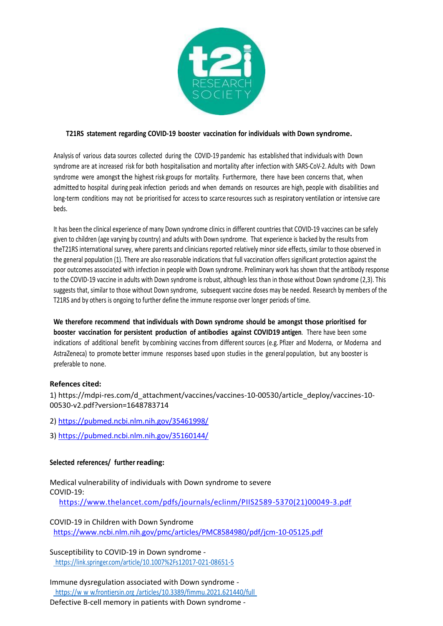

## **T21RS statement regarding COVID-19 booster vaccination for individuals with Down syndrome.**

Analysis of various data sources collected during the COVID-19 pandemic has established that individuals with Down syndrome are at increased risk for both hospitalisation and mortality after infection with SARS-CoV-2. Adults with Down syndrome were amongst the highest risk groups for mortality. Furthermore, there have been concerns that, when admitted to hospital during peak infection periods and when demands on resources are high, people with disabilities and long-term conditions may not be prioritised for access to scarce resources such as respiratory ventilation or intensive care beds.

It has been the clinical experience of many Down syndrome clinics in different countries that COVID-19 vaccines can be safely given to children (age varying by country) and adults with Down syndrome. That experience is backed by the results from theT21RS international survey, where parents and clinicians reported relatively minor side effects, similar to those observed in the general population (1). There are also reasonable indications that full vaccination offers significant protection against the poor outcomes associated with infection in people with Down syndrome. Preliminary work has shown that the antibody response to the COVID-19 vaccine in adults with Down syndrome is robust, although less than in those without Down syndrome (2,3). This suggests that, similar to those without Down syndrome, subsequent vaccine doses may be needed. Research by members of the T21RS and by others is ongoing to further define the immune response over longer periods of time.

**We therefore recommend that individuals with Down syndrome should be amongst those prioritised for booster vaccination for persistent production of antibodies against COVID19 antigen**. There have been some indications of additional benefit by combining vaccines from different sources (e.g. Pfizer and Moderna, or Moderna and AstraZeneca) to promote better immune responses based upon studies in the general population, but any booster is preferable to none.

## **Refences cited:**

1) [https://mdpi-res.com/d\\_attachment/vaccines/vaccines-10-00530/article\\_deploy/vaccines-10-](https://mdpi-res.com/d_attachment/vaccines/vaccines-10-00530/article_deploy/vaccines-10-00530-v2.pdf?version=1648783714) [00530-v2.pdf?version=1648783714](https://mdpi-res.com/d_attachment/vaccines/vaccines-10-00530/article_deploy/vaccines-10-00530-v2.pdf?version=1648783714)

2)<https://pubmed.ncbi.nlm.nih.gov/35461998/>

3)<https://pubmed.ncbi.nlm.nih.gov/35160144/>

## **Selected references/ further reading:**

Medical vulnerability of individuals with Down syndrome to severe COVID-19:

[https://www.thelancet.com/pdfs/journals/eclinm/PIIS2589-5370\(21\)00049-3.pdf](https://www.thelancet.com/pdfs/journals/eclinm/PIIS2589-5370(21)00049-3.pdf)

COVID-19 in Children with Down Syndrome <https://www.ncbi.nlm.nih.gov/pmc/articles/PMC8584980/pdf/jcm-10-05125.pdf>

Susceptibility to COVID-19 in Down syndrome <https://link.springer.com/article/10.1007%2Fs12017-021-08651-5>

Immune dysregulation associated with Down syndrome https://w w w.frontiersin.org [/articles/10.3389/fimmu.2021.621440/full](https://www.frontiersin.org/articles/10.3389/fimmu.2021.621440/full)

Defective B-cell memory in patients with Down syndrome -